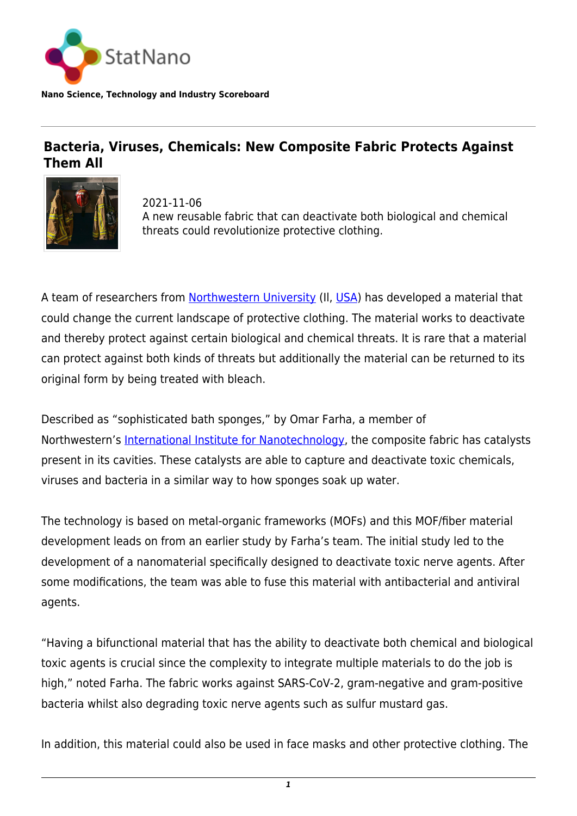

**Nano Science, Technology and Industry Scoreboard**

## **Bacteria, Viruses, Chemicals: New Composite Fabric Protects Against Them All**



2021-11-06 A new reusable fabric that can deactivate both biological and chemical threats could revolutionize protective clothing.

A team of researchers from [Northwestern University](https://statnano.com/org/Northwestern-University) (II, [USA\)](http://statnano.com/country/USA) has developed a material that could change the current landscape of protective clothing. The material works to deactivate and thereby protect against certain biological and chemical threats. It is rare that a material can protect against both kinds of threats but additionally the material can be returned to its original form by being treated with bleach.

Described as "sophisticated bath sponges," by Omar Farha, a member of Northwestern's [International Institute for Nanotechnology,](https://www.iinano.org/) the composite fabric has catalysts present in its cavities. These catalysts are able to capture and deactivate toxic chemicals, viruses and bacteria in a similar way to how sponges soak up water.

The technology is based on metal-organic frameworks (MOFs) and this MOF/fiber material development leads on from an earlier study by Farha's team. The initial study led to the development of a nanomaterial specifically designed to deactivate toxic nerve agents. After some modifications, the team was able to fuse this material with antibacterial and antiviral agents.

"Having a bifunctional material that has the ability to deactivate both chemical and biological toxic agents is crucial since the complexity to integrate multiple materials to do the job is high," noted Farha. The fabric works against SARS-CoV-2, gram-negative and gram-positive bacteria whilst also degrading toxic nerve agents such as sulfur mustard gas.

In addition, this material could also be used in face masks and other protective clothing. The